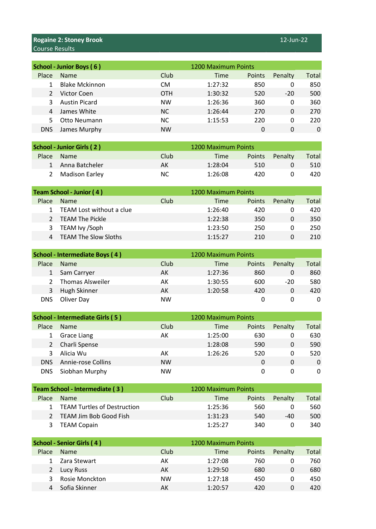| School - Junior Boys (6) |                       | 1200 Maximum Points |         |               |         |       |
|--------------------------|-----------------------|---------------------|---------|---------------|---------|-------|
| Place                    | <b>Name</b>           | Club                | Time    | <b>Points</b> | Penalty | Total |
|                          | <b>Blake Mckinnon</b> | СM                  | 1:27:32 | 850           | 0       | 850   |
|                          | Victor Coen           | <b>OTH</b>          | 1:30:32 | 520           | $-20$   | 500   |
| 3                        | <b>Austin Picard</b>  | <b>NW</b>           | 1:26:36 | 360           | 0       | 360   |
| 4                        | James White           | <b>NC</b>           | 1:26:44 | 270           | 0       | 270   |
| 5.                       | Otto Neumann          | NC.                 | 1:15:53 | 220           | 0       | 220   |
| <b>DNS</b>               | James Murphy          | <b>NW</b>           |         | 0             | 0       | 0     |
|                          |                       |                     |         |               |         |       |

| School - Junior Girls (2) |                  |      | 1200 Maximum Points |               |         |       |
|---------------------------|------------------|------|---------------------|---------------|---------|-------|
| Place                     | <b>Name</b>      | Club | Time                | <b>Points</b> | Penalty | Total |
|                           | 1 Anna Batcheler | AК   | 1:28:04             | 510           |         | 510   |
|                           | Madison Earley   | ΝC   | 1:26:08             | 420           |         | 420   |

| Team School - Junior (4) |                             |      | 1200 Maximum Points |               |         |       |
|--------------------------|-----------------------------|------|---------------------|---------------|---------|-------|
| <b>Place</b>             | <b>Name</b>                 | Club | Time                | <b>Points</b> | Penalty | Total |
|                          | TEAM Lost without a clue    |      | 1:26:40             | 420           |         | 420   |
| 2                        | <b>TEAM The Pickle</b>      |      | 1:22:38             | 350           |         | 350   |
| 3                        | TEAM Ivy /Soph              |      | 1:23:50             | 250           |         | 250   |
| 4                        | <b>TEAM The Slow Sloths</b> |      | 1:15:27             | 210           |         | 210   |

| School - Intermediate Boys (4) |                  |           | 1200 Maximum Points |               |         |       |
|--------------------------------|------------------|-----------|---------------------|---------------|---------|-------|
| Place                          | <b>Name</b>      | Club      | Time                | <b>Points</b> | Penalty | Total |
|                                | Sam Carryer      | АK        | 1:27:36             | 860           | 0       | 860   |
| $\mathcal{P}$                  | Thomas Alsweiler | АΚ        | 1:30:55             | 600           | $-20$   | 580   |
| 3                              | Hugh Skinner     | AК        | 1:20:58             | 420           | 0       | 420   |
| <b>DNS</b>                     | Oliver Day       | <b>NW</b> |                     |               |         |       |

| School - Intermediate Girls (5) |                    |           | 1200 Maximum Points |               |         |       |
|---------------------------------|--------------------|-----------|---------------------|---------------|---------|-------|
| Place                           | <b>Name</b>        | Club      | Time                | <b>Points</b> | Penalty | Total |
|                                 | Grace Liang        | АK        | 1:25:00             | 630           | 0       | 630   |
|                                 | 2 Charli Spense    |           | 1:28:08             | 590           | 0       | 590   |
|                                 | Alicia Wu          | АΚ        | 1:26:26             | 520           | Ω       | 520   |
| <b>DNS</b>                      | Annie-rose Collins | <b>NW</b> |                     | 0             | 0       | 0     |
| <b>DNS</b>                      | Siobhan Murphy     | <b>NW</b> |                     |               | Ω       |       |

| Team School - Intermediate (3) |                                    |      | 1200 Maximum Points |               |         |       |
|--------------------------------|------------------------------------|------|---------------------|---------------|---------|-------|
| Place                          | <b>Name</b>                        | Club | Time                | <b>Points</b> | Penalty | Total |
|                                | <b>TEAM Turtles of Destruction</b> |      | 1:25:36             | 560           |         | 560   |
| $\mathcal{P}$                  | TEAM Jim Bob Good Fish             |      | 1:31:23             | 540           | -40     | 500   |
| 3.                             | <b>TEAM Copain</b>                 |      | 1:25:27             | 340           |         | 340   |

| <b>School - Senior Girls (4)</b> |                |           | 1200 Maximum Points |               |         |       |
|----------------------------------|----------------|-----------|---------------------|---------------|---------|-------|
| Place                            | <b>Name</b>    | Club      | Time                | <b>Points</b> | Penalty | Total |
|                                  | Zara Stewart   | AK        | 1:27:08             | 760           |         | 760   |
|                                  | Lucy Russ      | AК        | 1:29:50             | 680           |         | 680   |
|                                  | Rosie Monckton | <b>NW</b> | 1:27:18             | 450           |         | 450   |
| 4                                | Sofia Skinner  | AK        | 1:20:57             | 420           |         | 420   |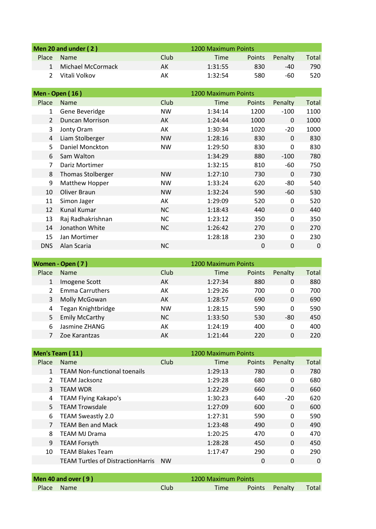| Men 20 and under (2) |                   |      | 1200 Maximum Points |               |         |       |  |
|----------------------|-------------------|------|---------------------|---------------|---------|-------|--|
| Place                | Name              | Club | Time                | <b>Points</b> | Penalty | Total |  |
|                      | Michael McCormack | АK   | 1:31:55             | 830           | -40     | 790   |  |
|                      | Vitali Volkov     | AK   | 1:32:54             | 580           | -60     | 520   |  |

|                | <b>Men - Open (16)</b>   |           | 1200 Maximum Points |               |          |       |
|----------------|--------------------------|-----------|---------------------|---------------|----------|-------|
| Place          | <b>Name</b>              | Club      | Time                | <b>Points</b> | Penalty  | Total |
| 1              | Gene Beveridge           | <b>NW</b> | 1:34:14             | 1200          | $-100$   | 1100  |
| $\overline{2}$ | <b>Duncan Morrison</b>   | AK        | 1:24:44             | 1000          | $\Omega$ | 1000  |
| 3              | Jonty Oram               | AK        | 1:30:34             | 1020          | $-20$    | 1000  |
| 4              | Liam Stolberger          | <b>NW</b> | 1:28:16             | 830           | $\Omega$ | 830   |
| 5              | Daniel Monckton          | <b>NW</b> | 1:29:50             | 830           | 0        | 830   |
| 6              | Sam Walton               |           | 1:34:29             | 880           | $-100$   | 780   |
| 7              | Dariz Mortimer           |           | 1:32:15             | 810           | -60      | 750   |
| 8              | <b>Thomas Stolberger</b> | <b>NW</b> | 1:27:10             | 730           | $\Omega$ | 730   |
| 9              | Matthew Hopper           | <b>NW</b> | 1:33:24             | 620           | -80      | 540   |
| 10             | Oliver Braun             | <b>NW</b> | 1:32:24             | 590           | -60      | 530   |
| 11             | Simon Jager              | AK        | 1:29:09             | 520           | 0        | 520   |
| 12             | Kunal Kumar              | <b>NC</b> | 1:18:43             | 440           | $\Omega$ | 440   |
| 13             | Raj Radhakrishnan        | <b>NC</b> | 1:23:12             | 350           | 0        | 350   |
| 14             | Jonathon White           | <b>NC</b> | 1:26:42             | 270           | 0        | 270   |
| 15             | Jan Mortimer             |           | 1:28:18             | 230           | 0        | 230   |
| <b>DNS</b>     | Alan Scaria              | <b>NC</b> |                     | 0             | 0        | 0     |
|                |                          |           |                     |               |          |       |

|       | Women - Open (7)       |             | 1200 Maximum Points |               |         |       |
|-------|------------------------|-------------|---------------------|---------------|---------|-------|
| Place | <b>Name</b>            | <b>Club</b> | Time                | <b>Points</b> | Penalty | Total |
| 1     | Imogene Scott          | AK          | 1:27:34             | 880           | 0       | 880   |
|       | <b>Emma Carruthers</b> | АK          | 1:29:26             | 700           | 0       | 700   |
| 3     | Molly McGowan          | AK          | 1:28:57             | 690           | 0       | 690   |
| 4     | Tegan Knightbridge     | <b>NW</b>   | 1:28:15             | 590           | 0       | 590   |
| 5     | <b>Emily McCarthy</b>  | <b>NC</b>   | 1:33:50             | 530           | -80     | 450   |
| 6     | Jasmine ZHANG          | AK          | 1:24:19             | 400           | 0       | 400   |
|       | Zoe Karantzas          | AK          | 1:21:44             | 220           | 0       | 220   |

|       | Men's Team (11)                           |           | 1200 Maximum Points |               |          |       |
|-------|-------------------------------------------|-----------|---------------------|---------------|----------|-------|
| Place | <b>Name</b>                               | Club      | Time                | <b>Points</b> | Penalty  | Total |
|       | <b>TEAM Non-functional toenails</b>       |           | 1:29:13             | 780           | 0        | 780   |
|       | <b>TEAM Jacksonz</b>                      |           | 1:29:28             | 680           | 0        | 680   |
| 3     | <b>TEAM WDR</b>                           |           | 1:22:29             | 660           | 0        | 660   |
| 4     | <b>TEAM Flying Kakapo's</b>               |           | 1:30:23             | 640           | $-20$    | 620   |
| 5.    | <b>TEAM Trowsdale</b>                     |           | 1:27:09             | 600           | $\Omega$ | 600   |
| 6     | TEAM Sweastly 2.0                         |           | 1:27:31             | 590           | 0        | 590   |
|       | <b>TEAM Ben and Mack</b>                  |           | 1:23:48             | 490           | $\Omega$ | 490   |
| 8     | <b>TEAM MJ Drama</b>                      |           | 1:20:25             | 470           | 0        | 470   |
| 9     | <b>TEAM Forsyth</b>                       |           | 1:28:28             | 450           | 0        | 450   |
| 10    | <b>TEAM Blakes Team</b>                   |           | 1:17:47             | 290           | 0        | 290   |
|       | <b>TEAM Turtles of Distraction Harris</b> | <b>NW</b> |                     | 0             | 0        | 0     |
|       |                                           |           |                     |               |          |       |

| Men 40 and over $(9)$ |      | 1200 Maximum Points |                |       |
|-----------------------|------|---------------------|----------------|-------|
| Place Name            | Club | Time                | Points Penalty | Total |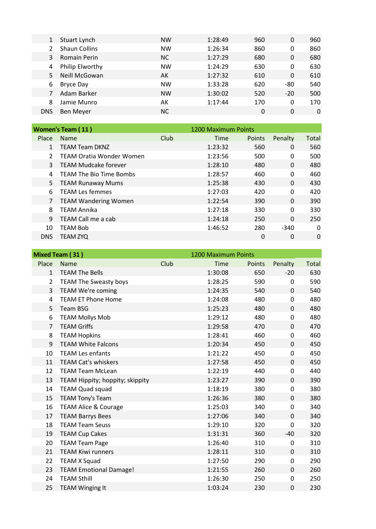| <b>Shaun Collins</b><br>860<br>860<br><b>NW</b><br>1:26:34<br>0<br>Romain Perin<br>NC.<br>680<br>1:27:29<br>680<br>$\Omega$<br>3<br>630<br>Philip Elworthy<br>1:24:29<br>630<br><b>NW</b><br>0<br>4<br>Neill McGowan<br>AK<br>1:27:32<br>610<br>610<br>0<br>1:33:28<br>620<br>-80<br>540<br><b>NW</b><br><b>Bryce Day</b><br>6<br>Adam Barker<br>500<br><b>NW</b><br>1:30:02<br>520<br>$-20$ |
|----------------------------------------------------------------------------------------------------------------------------------------------------------------------------------------------------------------------------------------------------------------------------------------------------------------------------------------------------------------------------------------------|
|                                                                                                                                                                                                                                                                                                                                                                                              |
|                                                                                                                                                                                                                                                                                                                                                                                              |
|                                                                                                                                                                                                                                                                                                                                                                                              |
|                                                                                                                                                                                                                                                                                                                                                                                              |
|                                                                                                                                                                                                                                                                                                                                                                                              |
|                                                                                                                                                                                                                                                                                                                                                                                              |
| 170<br>АK<br>1:17:44<br>170<br>Jamie Munro<br>0<br>8                                                                                                                                                                                                                                                                                                                                         |
| NC.<br><b>Ben Meyer</b><br>0<br>$\Omega$<br><b>DNS</b><br>0                                                                                                                                                                                                                                                                                                                                  |

|                | <b>Women's Team (11)</b>        |             | 1200 Maximum Points |        |          |       |
|----------------|---------------------------------|-------------|---------------------|--------|----------|-------|
| Place          | <b>Name</b>                     | <b>Club</b> | Time                | Points | Penalty  | Total |
| $\mathbf{1}$   | <b>TEAM Team DKNZ</b>           |             | 1:23:32             | 560    | 0        | 560   |
| $\overline{2}$ | <b>TEAM Oratia Wonder Women</b> |             | 1:23:56             | 500    | 0        | 500   |
| 3              | <b>TEAM Mudcake forever</b>     |             | 1:28:10             | 480    | 0        | 480   |
| 4              | TEAM The Bio Time Bombs         |             | 1:28:57             | 460    | 0        | 460   |
| 5.             | <b>TEAM Runaway Mums</b>        |             | 1:25:38             | 430    | 0        | 430   |
| 6              | <b>TEAM Les femmes</b>          |             | 1:27:03             | 420    | 0        | 420   |
| 7              | <b>TEAM Wandering Women</b>     |             | 1:22:54             | 390    | $\Omega$ | 390   |
| 8              | <b>TEAM Annika</b>              |             | 1:27:18             | 330    | $\Omega$ | 330   |
| 9              | TEAM Call me a cab              |             | 1:24:18             | 250    | 0        | 250   |
| 10             | <b>TEAM Bob</b>                 |             | 1:46:52             | 280    | $-340$   | 0     |
| <b>DNS</b>     | TEAM ZYQ                        |             |                     | 0      | 0        | 0     |
|                |                                 |             |                     |        |          |       |

|                | Mixed Team (31)                 |      | 1200 Maximum Points |        |             |       |
|----------------|---------------------------------|------|---------------------|--------|-------------|-------|
| Place          | <b>Name</b>                     | Club | Time                | Points | Penalty     | Total |
| $\mathbf{1}$   | <b>TEAM The Bells</b>           |      | 1:30:08             | 650    | $-20$       | 630   |
| $\overline{2}$ | <b>TEAM The Sweasty boys</b>    |      | 1:28:25             | 590    | $\pmb{0}$   | 590   |
| 3              | TEAM We're coming               |      | 1:24:35             | 540    | 0           | 540   |
| 4              | <b>TEAM ET Phone Home</b>       |      | 1:24:08             | 480    | 0           | 480   |
| 5              | <b>Team BSG</b>                 |      | 1:25:23             | 480    | 0           | 480   |
| 6              | <b>TEAM Mollys Mob</b>          |      | 1:29:12             | 480    | $\mathbf 0$ | 480   |
| $\overline{7}$ | <b>TEAM Griffs</b>              |      | 1:29:58             | 470    | $\mathbf 0$ | 470   |
| 8              | <b>TEAM Hopkins</b>             |      | 1:28:41             | 460    | 0           | 460   |
| 9              | <b>TEAM White Falcons</b>       |      | 1:20:34             | 450    | $\pmb{0}$   | 450   |
| 10             | <b>TEAM Les enfants</b>         |      | 1:21:22             | 450    | $\pmb{0}$   | 450   |
| 11             | <b>TEAM Cat's whiskers</b>      |      | 1:27:58             | 450    | $\mathbf 0$ | 450   |
| 12             | <b>TEAM Team McLean</b>         |      | 1:22:19             | 440    | 0           | 440   |
| 13             | TEAM Hippity; hoppity; skippity |      | 1:23:27             | 390    | $\pmb{0}$   | 390   |
| 14             | <b>TEAM Quad squad</b>          |      | 1:18:19             | 380    | 0           | 380   |
| 15             | <b>TEAM Tony's Team</b>         |      | 1:26:36             | 380    | $\pmb{0}$   | 380   |
| 16             | <b>TEAM Alice &amp; Courage</b> |      | 1:25:03             | 340    | 0           | 340   |
| 17             | <b>TEAM Barrys Bees</b>         |      | 1:27:06             | 340    | 0           | 340   |
| 18             | <b>TEAM Team Seuss</b>          |      | 1:29:10             | 320    | 0           | 320   |
| 19             | <b>TEAM Cup Cakes</b>           |      | 1:31:31             | 360    | $-40$       | 320   |
| 20             | <b>TEAM Team Page</b>           |      | 1:26:40             | 310    | $\mathbf 0$ | 310   |
| 21             | <b>TEAM Kiwi runners</b>        |      | 1:28:11             | 310    | 0           | 310   |
| 22             | <b>TEAM X Squad</b>             |      | 1:27:50             | 290    | 0           | 290   |
| 23             | <b>TEAM Emotional Damage!</b>   |      | 1:21:55             | 260    | $\mathbf 0$ | 260   |
| 24             | <b>TEAM Sthill</b>              |      | 1:26:30             | 250    | 0           | 250   |
| 25             | <b>TEAM Winging It</b>          |      | 1:03:24             | 230    | $\pmb{0}$   | 230   |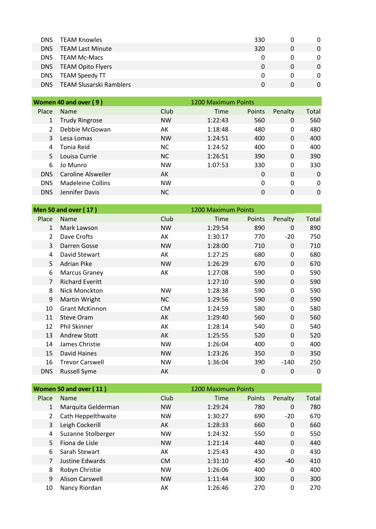| <b>DNS</b> | <b>TEAM Knowles</b>      | 330 |   |
|------------|--------------------------|-----|---|
| <b>DNS</b> | TEAM Last Minute         | 320 | 0 |
| <b>DNS</b> | TEAM Mc-Macs             |     |   |
| DNS        | <b>TEAM Opito Flyers</b> |     | 0 |
| DNS.       | TEAM Speedy TT           |     |   |
| <b>DNS</b> | TEAM Slusarski Ramblers  |     |   |

|              | Women 40 and over (9) |             | 1200 Maximum Points |        |              |       |
|--------------|-----------------------|-------------|---------------------|--------|--------------|-------|
| Place        | <b>Name</b>           | <b>Club</b> | Time                | Points | Penalty      | Total |
| $\mathbf{1}$ | <b>Trudy Ringrose</b> | <b>NW</b>   | 1:22:43             | 560    | 0            | 560   |
|              | Debbie McGowan        | AK          | 1:18:48             | 480    | 0            | 480   |
| 3            | Lesa Lomas            | <b>NW</b>   | 1:24:51             | 400    | 0            | 400   |
| 4            | Tonia Reid            | NC.         | 1:24:52             | 400    | 0            | 400   |
| 5.           | Louisa Currie         | <b>NC</b>   | 1:26:51             | 390    | $\mathbf{0}$ | 390   |
| 6            | Jo Munro              | <b>NW</b>   | 1:07:53             | 330    | 0            | 330   |
| <b>DNS</b>   | Caroline Alsweiler    | AK          |                     | 0      | $\Omega$     | 0     |
| <b>DNS</b>   | Madeleine Collins     | <b>NW</b>   |                     | 0      | 0            | 0     |
| <b>DNS</b>   | Jennifer Davis        | ΝC          |                     | 0      | 0            | 0     |

|                | <b>Men 50 and over (17)</b> |           | 1200 Maximum Points |        |          |             |
|----------------|-----------------------------|-----------|---------------------|--------|----------|-------------|
| Place          | Name                        | Club      | Time                | Points | Penalty  | Total       |
| $\mathbf{1}$   | Mark Lawson                 | <b>NW</b> | 1:29:54             | 890    | 0        | 890         |
| $\overline{2}$ | Dave Crofts                 | AK        | 1:30:17             | 770    | $-20$    | 750         |
| 3              | Darren Gosse                | <b>NW</b> | 1:28:00             | 710    | 0        | 710         |
| 4              | David Stewart               | AK        | 1:27:25             | 680    | 0        | 680         |
| 5              | <b>Adrian Pike</b>          | <b>NW</b> | 1:26:29             | 670    | 0        | 670         |
| 6              | <b>Marcus Graney</b>        | AK        | 1:27:08             | 590    | 0        | 590         |
| 7              | <b>Richard Everitt</b>      |           | 1:27:10             | 590    | 0        | 590         |
| 8              | Nick Monckton               | <b>NW</b> | 1:28:38             | 590    | 0        | 590         |
| 9              | Martin Wright               | <b>NC</b> | 1:29:56             | 590    | 0        | 590         |
| 10             | <b>Grant McKinnon</b>       | <b>CM</b> | 1:24:59             | 580    | 0        | 580         |
| 11             | <b>Steve Oram</b>           | AK        | 1:29:40             | 560    | 0        | 560         |
| 12             | <b>Phil Skinner</b>         | AK        | 1:28:14             | 540    | 0        | 540         |
| 13             | <b>Andrew Stott</b>         | AK        | 1:25:55             | 520    | $\Omega$ | 520         |
| 14             | James Christie              | <b>NW</b> | 1:26:04             | 400    | 0        | 400         |
| 15             | David Haines                | <b>NW</b> | 1:23:26             | 350    | 0        | 350         |
| 16             | <b>Trevor Carswell</b>      | <b>NW</b> | 1:36:04             | 390    | $-140$   | 250         |
| <b>DNS</b>     | <b>Russell Syme</b>         | AK        |                     | 0      | 0        | $\mathbf 0$ |

| Women 50 and over (11) |                        |           | 1200 Maximum Points |               |              |       |
|------------------------|------------------------|-----------|---------------------|---------------|--------------|-------|
| Place                  | <b>Name</b>            | Club      | <b>Time</b>         | <b>Points</b> | Penalty      | Total |
| 1                      | Marquita Gelderman     | <b>NW</b> | 1:29:24             | 780           | $\Omega$     | 780   |
| 2                      | Cath Heppelthwaite     | <b>NW</b> | 1:30:27             | 690           | $-20$        | 670   |
| 3                      | Leigh Cockerill        | AK        | 1:28:33             | 660           | $\mathbf{0}$ | 660   |
| 4                      | Suzanne Stolberger     | <b>NW</b> | 1:24:32             | 550           | 0            | 550   |
| 5                      | Fiona de Lisle         | <b>NW</b> | 1:21:14             | 440           | $\Omega$     | 440   |
| 6                      | Sarah Stewart          | AK        | 1:25:43             | 430           | 0            | 430   |
| 7                      | Justine Edwards        | <b>CM</b> | 1:31:10             | 450           | $-40$        | 410   |
| 8                      | Robyn Christie         | <b>NW</b> | 1:26:06             | 400           | 0            | 400   |
| 9                      | <b>Alison Carswell</b> | <b>NW</b> | 1:11:44             | 300           | 0            | 300   |
| 10                     | Nancy Riordan          | AK        | 1:26:46             | 270           | 0            | 270   |